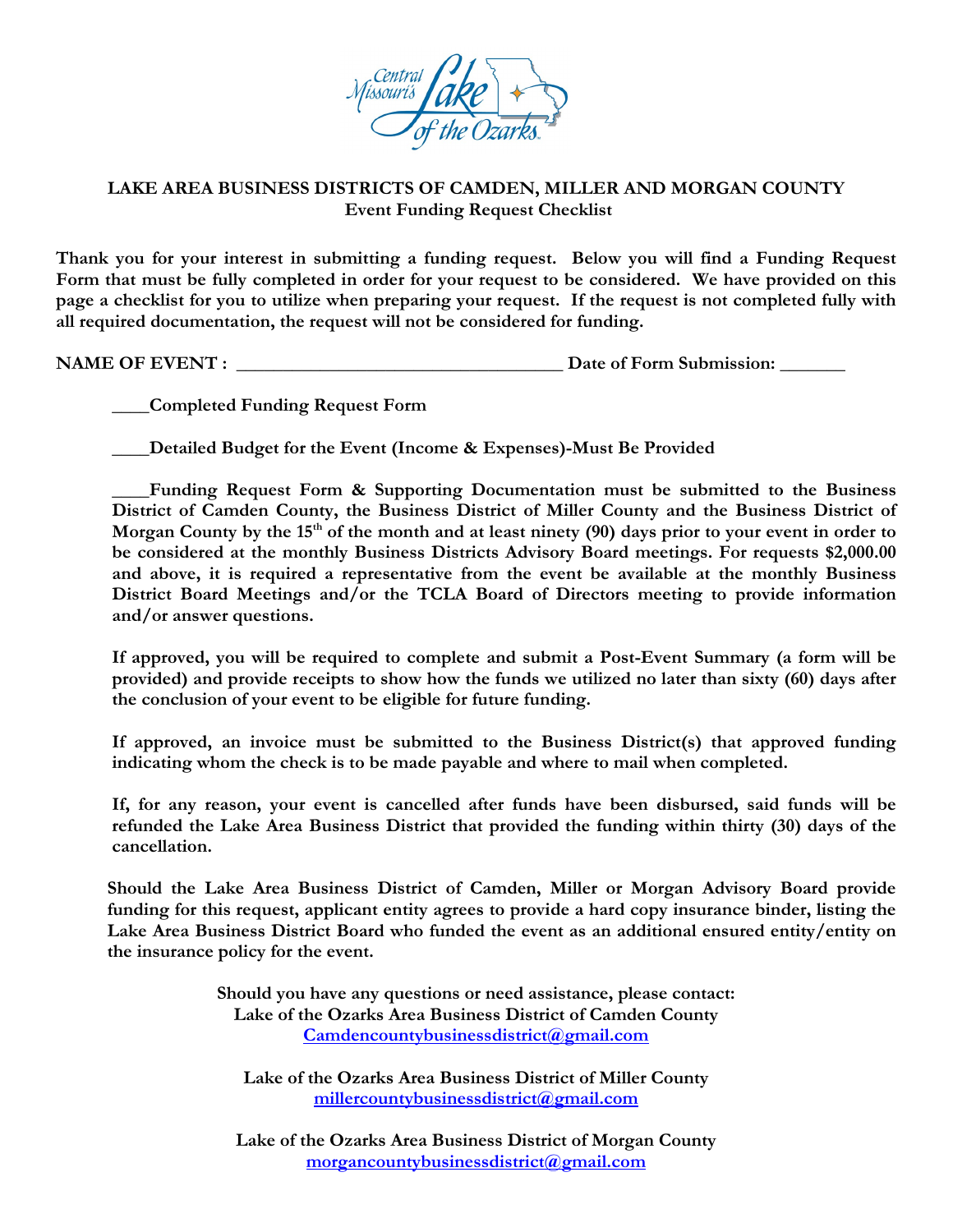

## **LAKE AREA BUSINESS DISTRICTS OF CAMDEN, MILLER AND MORGAN COUNTY Event Funding Request Checklist**

**Thank you for your interest in submitting a funding request. Below you will find a Funding Request Form that must be fully completed in order for your request to be considered. We have provided on this page a checklist for you to utilize when preparing your request. If the request is not completed fully with all required documentation, the request will not be considered for funding.** 

**NAME OF EVENT : \_\_\_\_\_\_\_\_\_\_\_\_\_\_\_\_\_\_\_\_\_\_\_\_\_\_\_\_\_\_\_\_\_\_\_ Date of Form Submission: \_\_\_\_\_\_\_**

**\_\_\_\_Completed Funding Request Form** 

**\_\_\_\_Detailed Budget for the Event (Income & Expenses)-Must Be Provided**

**\_\_\_\_Funding Request Form & Supporting Documentation must be submitted to the Business District of Camden County, the Business District of Miller County and the Business District of Morgan County by the 15th of the month and at least ninety (90) days prior to your event in order to be considered at the monthly Business Districts Advisory Board meetings. For requests \$2,000.00 and above, it is required a representative from the event be available at the monthly Business District Board Meetings and/or the TCLA Board of Directors meeting to provide information and/or answer questions.**

**If approved, you will be required to complete and submit a Post-Event Summary (a form will be provided) and provide receipts to show how the funds we utilized no later than sixty (60) days after the conclusion of your event to be eligible for future funding.** 

**If approved, an invoice must be submitted to the Business District(s) that approved funding indicating whom the check is to be made payable and where to mail when completed.** 

**If, for any reason, your event is cancelled after funds have been disbursed, said funds will be refunded the Lake Area Business District that provided the funding within thirty (30) days of the cancellation.** 

**Should the Lake Area Business District of Camden, Miller or Morgan Advisory Board provide funding for this request, applicant entity agrees to provide a hard copy insurance binder, listing the Lake Area Business District Board who funded the event as an additional ensured entity/entity on the insurance policy for the event.**

> **Should you have any questions or need assistance, please contact: Lake of the Ozarks Area Business District of Camden County [Camdencountybusinessdistrict@gmail.com](mailto:Camdencountybusinessdistrict@gmail.com)**

**Lake of the Ozarks Area Business District of Miller County [millercountybusinessdistrict@gmail.com](mailto:millercountybusinessdistrict@gmail.com)**

**Lake of the Ozarks Area Business District of Morgan County [morgancountybusinessdistrict@gmail.com](mailto:morgancountybusinessdistrict@gmail.com)**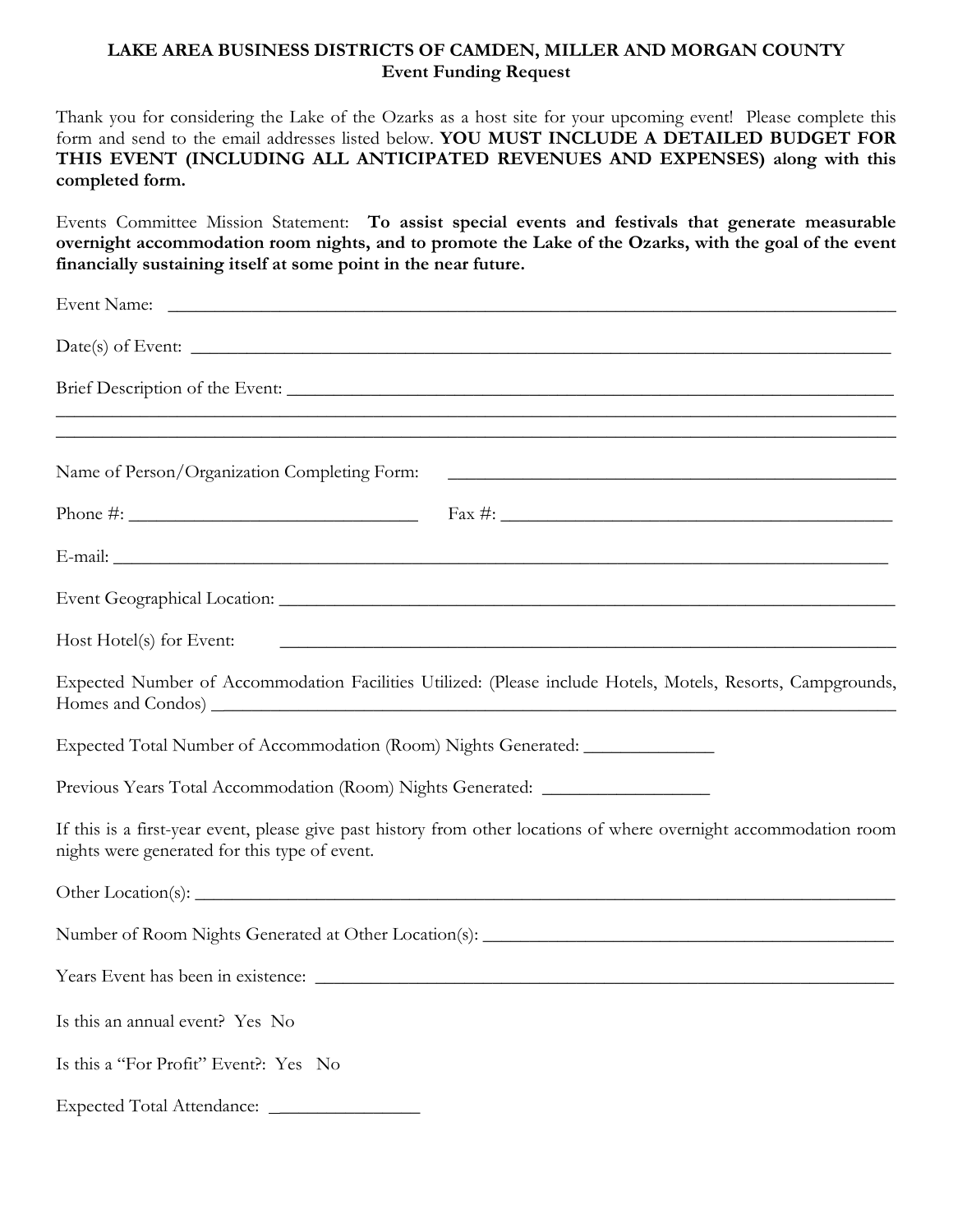## **LAKE AREA BUSINESS DISTRICTS OF CAMDEN, MILLER AND MORGAN COUNTY Event Funding Request**

Thank you for considering the Lake of the Ozarks as a host site for your upcoming event! Please complete this form and send to the email addresses listed below. **YOU MUST INCLUDE A DETAILED BUDGET FOR THIS EVENT (INCLUDING ALL ANTICIPATED REVENUES AND EXPENSES) along with this completed form.**

Events Committee Mission Statement: **To assist special events and festivals that generate measurable overnight accommodation room nights, and to promote the Lake of the Ozarks, with the goal of the event financially sustaining itself at some point in the near future.**

| Name of Person/Organization Completing Form:                                                                                                                                                                                                                                                                       | <u> 1989 - Johann John Harry Harry Harry Harry Harry Harry Harry Harry Harry Harry Harry Harry Harry Harry Harry</u> |
|--------------------------------------------------------------------------------------------------------------------------------------------------------------------------------------------------------------------------------------------------------------------------------------------------------------------|----------------------------------------------------------------------------------------------------------------------|
| Phone #: $\frac{1}{2}$ $\frac{1}{2}$ $\frac{1}{2}$ $\frac{1}{2}$ $\frac{1}{2}$ $\frac{1}{2}$ $\frac{1}{2}$ $\frac{1}{2}$ $\frac{1}{2}$ $\frac{1}{2}$ $\frac{1}{2}$ $\frac{1}{2}$ $\frac{1}{2}$ $\frac{1}{2}$ $\frac{1}{2}$ $\frac{1}{2}$ $\frac{1}{2}$ $\frac{1}{2}$ $\frac{1}{2}$ $\frac{1}{2}$ $\frac{1}{2}$ $\$ |                                                                                                                      |
|                                                                                                                                                                                                                                                                                                                    |                                                                                                                      |
|                                                                                                                                                                                                                                                                                                                    |                                                                                                                      |
|                                                                                                                                                                                                                                                                                                                    | Host Hotel(s) for Event:                                                                                             |
|                                                                                                                                                                                                                                                                                                                    | Expected Number of Accommodation Facilities Utilized: (Please include Hotels, Motels, Resorts, Campgrounds,          |
| Expected Total Number of Accommodation (Room) Nights Generated: ________________                                                                                                                                                                                                                                   |                                                                                                                      |
| Previous Years Total Accommodation (Room) Nights Generated: ____________________                                                                                                                                                                                                                                   |                                                                                                                      |
| nights were generated for this type of event.                                                                                                                                                                                                                                                                      | If this is a first-year event, please give past history from other locations of where overnight accommodation room   |
|                                                                                                                                                                                                                                                                                                                    |                                                                                                                      |
|                                                                                                                                                                                                                                                                                                                    |                                                                                                                      |
|                                                                                                                                                                                                                                                                                                                    |                                                                                                                      |
| Is this an annual event? Yes No                                                                                                                                                                                                                                                                                    |                                                                                                                      |
| Is this a "For Profit" Event?: Yes No                                                                                                                                                                                                                                                                              |                                                                                                                      |
|                                                                                                                                                                                                                                                                                                                    |                                                                                                                      |